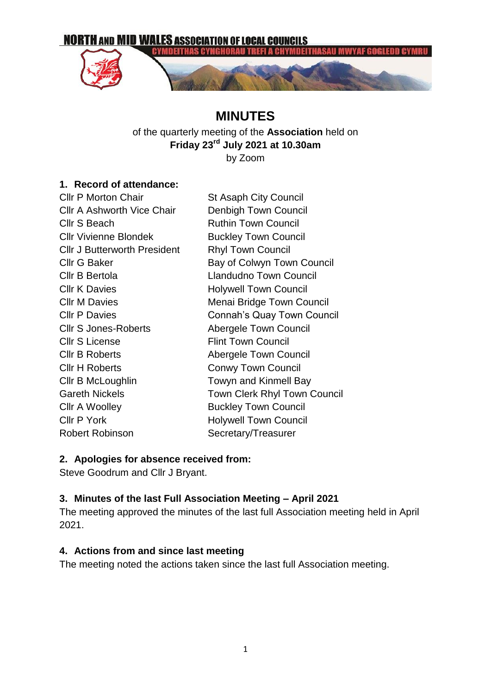

# **MINUTES**

of the quarterly meeting of the **Association** held on **Friday 23rd July 2021 at 10.30am** by Zoom

#### **1. Record of attendance:**

| <b>CIIr P Morton Chair</b>          | <b>St Asaph City Council</b>        |
|-------------------------------------|-------------------------------------|
| <b>CIIr A Ashworth Vice Chair</b>   | Denbigh Town Council                |
| Cllr S Beach                        | <b>Ruthin Town Council</b>          |
| <b>Cllr Vivienne Blondek</b>        | <b>Buckley Town Council</b>         |
| <b>CIIr J Butterworth President</b> | <b>Rhyl Town Council</b>            |
| <b>Cllr G Baker</b>                 | Bay of Colwyn Town Council          |
| Cllr B Bertola                      | <b>Llandudno Town Council</b>       |
| <b>Cllr K Davies</b>                | <b>Holywell Town Council</b>        |
| <b>Cllr M Davies</b>                | Menai Bridge Town Council           |
| <b>Cllr P Davies</b>                | Connah's Quay Town Council          |
| <b>CIIr S Jones-Roberts</b>         | Abergele Town Council               |
| <b>Cllr S License</b>               | <b>Flint Town Council</b>           |
| <b>Cllr B Roberts</b>               | <b>Abergele Town Council</b>        |
| <b>Cllr H Roberts</b>               | <b>Conwy Town Council</b>           |
| Cllr B McLoughlin                   | Towyn and Kinmell Bay               |
| <b>Gareth Nickels</b>               | <b>Town Clerk Rhyl Town Council</b> |
| Cllr A Woolley                      | <b>Buckley Town Council</b>         |
| <b>Cllr P York</b>                  | <b>Holywell Town Council</b>        |
| <b>Robert Robinson</b>              | Secretary/Treasurer                 |

### **2. Apologies for absence received from:**

Steve Goodrum and Cllr J Bryant.

# **3. Minutes of the last Full Association Meeting – April 2021**

The meeting approved the minutes of the last full Association meeting held in April 2021.

# **4. Actions from and since last meeting**

The meeting noted the actions taken since the last full Association meeting.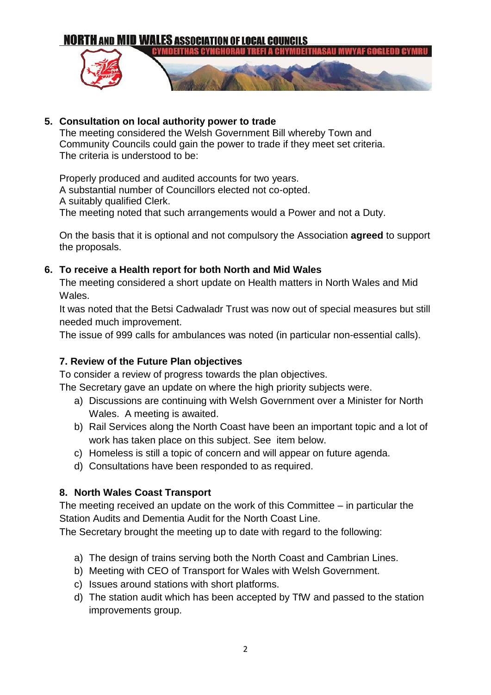

#### **5. Consultation on local authority power to trade**

The meeting considered the Welsh Government Bill whereby Town and Community Councils could gain the power to trade if they meet set criteria. The criteria is understood to be:

Properly produced and audited accounts for two years. A substantial number of Councillors elected not co-opted. A suitably qualified Clerk. The meeting noted that such arrangements would a Power and not a Duty.

On the basis that it is optional and not compulsory the Association **agreed** to support the proposals.

### **6. To receive a Health report for both North and Mid Wales**

The meeting considered a short update on Health matters in North Wales and Mid Wales.

It was noted that the Betsi Cadwaladr Trust was now out of special measures but still needed much improvement.

The issue of 999 calls for ambulances was noted (in particular non-essential calls).

# **7. Review of the Future Plan objectives**

To consider a review of progress towards the plan objectives.

The Secretary gave an update on where the high priority subjects were.

- a) Discussions are continuing with Welsh Government over a Minister for North Wales. A meeting is awaited.
- b) Rail Services along the North Coast have been an important topic and a lot of work has taken place on this subject. See item below.
- c) Homeless is still a topic of concern and will appear on future agenda.
- d) Consultations have been responded to as required.

# **8. North Wales Coast Transport**

The meeting received an update on the work of this Committee – in particular the Station Audits and Dementia Audit for the North Coast Line.

The Secretary brought the meeting up to date with regard to the following:

- a) The design of trains serving both the North Coast and Cambrian Lines.
- b) Meeting with CEO of Transport for Wales with Welsh Government.
- c) Issues around stations with short platforms.
- d) The station audit which has been accepted by TfW and passed to the station improvements group.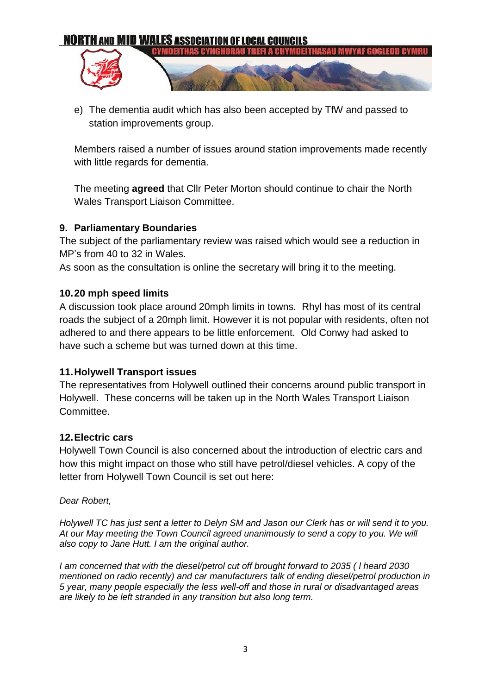

e) The dementia audit which has also been accepted by TfW and passed to station improvements group.

Members raised a number of issues around station improvements made recently with little regards for dementia.

The meeting **agreed** that Cllr Peter Morton should continue to chair the North Wales Transport Liaison Committee.

### **9. Parliamentary Boundaries**

The subject of the parliamentary review was raised which would see a reduction in MP's from 40 to 32 in Wales.

As soon as the consultation is online the secretary will bring it to the meeting.

### **10.20 mph speed limits**

A discussion took place around 20mph limits in towns. Rhyl has most of its central roads the subject of a 20mph limit. However it is not popular with residents, often not adhered to and there appears to be little enforcement. Old Conwy had asked to have such a scheme but was turned down at this time.

### **11.Holywell Transport issues**

The representatives from Holywell outlined their concerns around public transport in Holywell. These concerns will be taken up in the North Wales Transport Liaison Committee.

### **12.Electric cars**

Holywell Town Council is also concerned about the introduction of electric cars and how this might impact on those who still have petrol/diesel vehicles. A copy of the letter from Holywell Town Council is set out here:

#### *Dear Robert,*

*Holywell TC has just sent a letter to Delyn SM and Jason our Clerk has or will send it to you. At our May meeting the Town Council agreed unanimously to send a copy to you. We will also copy to Jane Hutt. I am the original author.* 

*I am concerned that with the diesel/petrol cut off brought forward to 2035 ( l heard 2030 mentioned on radio recently) and car manufacturers talk of ending diesel/petrol production in 5 year, many people especially the less well-off and those in rural or disadvantaged areas are likely to be left stranded in any transition but also long term.*